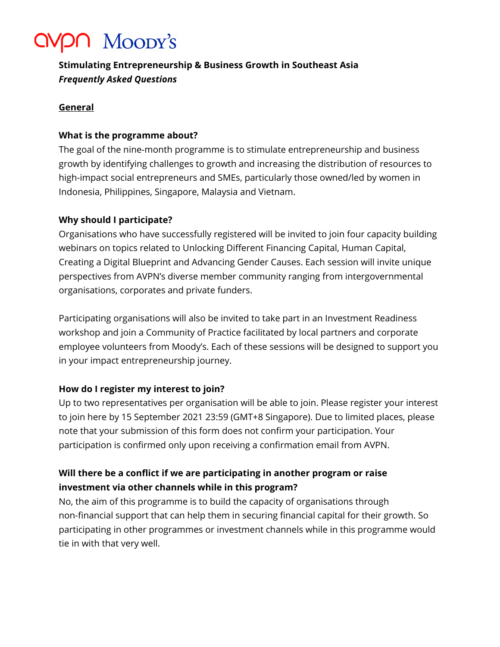# *CMPN Moody's*

# **Stimulating Entrepreneurship & Business Growth in Southeast Asia** *Frequently Asked Questions*

#### **General**

#### **What is the programme about?**

The goal of the nine-month programme is to stimulate entrepreneurship and business growth by identifying challenges to growth and increasing the distribution of resources to high-impact social entrepreneurs and SMEs, particularly those owned/led by women in Indonesia, Philippines, Singapore, Malaysia and Vietnam.

### **Why should I participate?**

Organisations who have successfully registered will be invited to join four capacity building webinars on topics related to Unlocking Different Financing Capital, Human Capital, Creating a Digital Blueprint and Advancing Gender Causes. Each session will invite unique perspectives from AVPN's diverse member community ranging from intergovernmental organisations, corporates and private funders.

Participating organisations will also be invited to take part in an Investment Readiness workshop and join a Community of Practice facilitated by local partners and corporate employee volunteers from Moody's. Each of these sessions will be designed to support you in your impact entrepreneurship journey.

### **How do I register my interest to join?**

Up to two representatives per organisation will be able to join. Please register your interest to join here by 15 September 2021 23:59 (GMT+8 Singapore). Due to limited places, please note that your submission of this form does not confirm your participation. Your participation is confirmed only upon receiving a confirmation email from AVPN.

## **Will there be a conflict if we are participating in another program or raise investment via other channels while in this program?**

No, the aim of this programme is to build the capacity of organisations through non-financial support that can help them in securing financial capital for their growth. So participating in other programmes or investment channels while in this programme would tie in with that very well.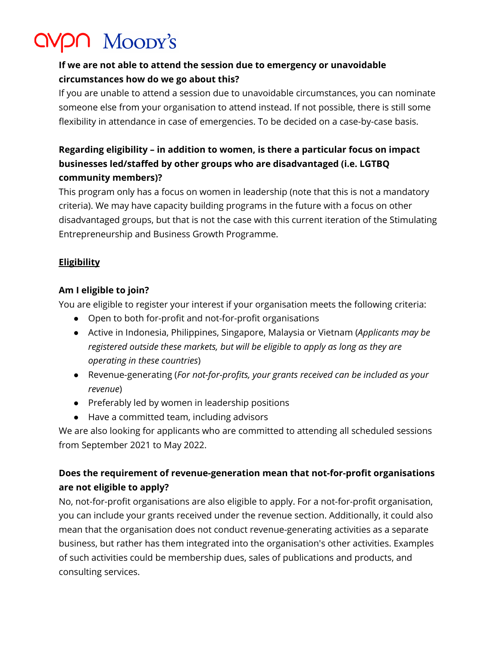# *CMPN MOODY's*

## **If we are not able to attend the session due to emergency or unavoidable circumstances how do we go about this?**

If you are unable to attend a session due to unavoidable circumstances, you can nominate someone else from your organisation to attend instead. If not possible, there is still some flexibility in attendance in case of emergencies. To be decided on a case-by-case basis.

# **Regarding eligibility – in addition to women, is there a particular focus on impact businesses led/staffed by other groups who are disadvantaged (i.e. LGTBQ community members)?**

This program only has a focus on women in leadership (note that this is not a mandatory criteria). We may have capacity building programs in the future with a focus on other disadvantaged groups, but that is not the case with this current iteration of the Stimulating Entrepreneurship and Business Growth Programme.

### **Eligibility**

### **Am I eligible to join?**

You are eligible to register your interest if your organisation meets the following criteria:

- Open to both for-profit and not-for-profit organisations
- Active in Indonesia, Philippines, Singapore, Malaysia or Vietnam (*Applicants may be registered outside these markets, but will be eligible to apply as long as they are operating in these countries*)
- Revenue-generating (*For not-for-profits, your grants received can be included as your revenue*)
- Preferably led by women in leadership positions
- Have a committed team, including advisors

We are also looking for applicants who are committed to attending all scheduled sessions from September 2021 to May 2022.

# **Does the requirement of revenue-generation mean that not-for-profit organisations are not eligible to apply?**

No, not-for-profit organisations are also eligible to apply. For a not-for-profit organisation, you can include your grants received under the revenue section. Additionally, it could also mean that the organisation does not conduct revenue-generating activities as a separate business, but rather has them integrated into the organisation's other activities. Examples of such activities could be membership dues, sales of publications and products, and consulting services.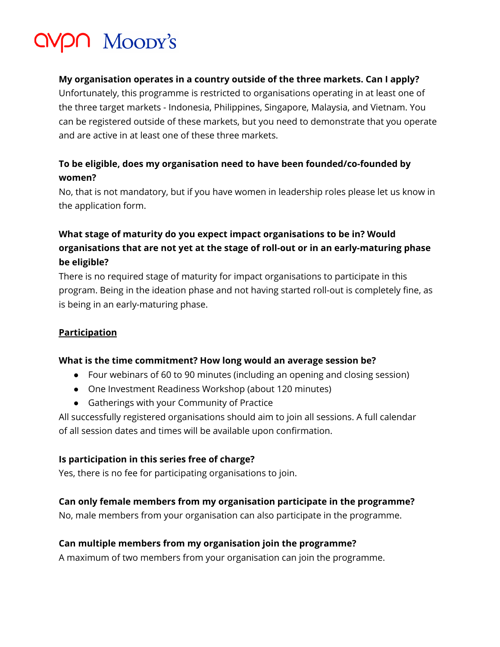# VPN Moody's

#### **My organisation operates in a country outside of the three markets. Can I apply?**

Unfortunately, this programme is restricted to organisations operating in at least one of the three target markets - Indonesia, Philippines, Singapore, Malaysia, and Vietnam. You can be registered outside of these markets, but you need to demonstrate that you operate and are active in at least one of these three markets.

## **To be eligible, does my organisation need to have been founded/co-founded by women?**

No, that is not mandatory, but if you have women in leadership roles please let us know in the application form.

# **What stage of maturity do you expect impact organisations to be in? Would organisations that are not yet at the stage of roll-out or in an early-maturing phase be eligible?**

There is no required stage of maturity for impact organisations to participate in this program. Being in the ideation phase and not having started roll-out is completely fine, as is being in an early-maturing phase.

### **Participation**

#### **What is the time commitment? How long would an average session be?**

- Four webinars of 60 to 90 minutes (including an opening and closing session)
- One Investment Readiness Workshop (about 120 minutes)
- Gatherings with your Community of Practice

All successfully registered organisations should aim to join all sessions. A full calendar of all session dates and times will be available upon confirmation.

#### **Is participation in this series free of charge?**

Yes, there is no fee for participating organisations to join.

### **Can only female members from my organisation participate in the programme?**

No, male members from your organisation can also participate in the programme.

#### **Can multiple members from my organisation join the programme?**

A maximum of two members from your organisation can join the programme.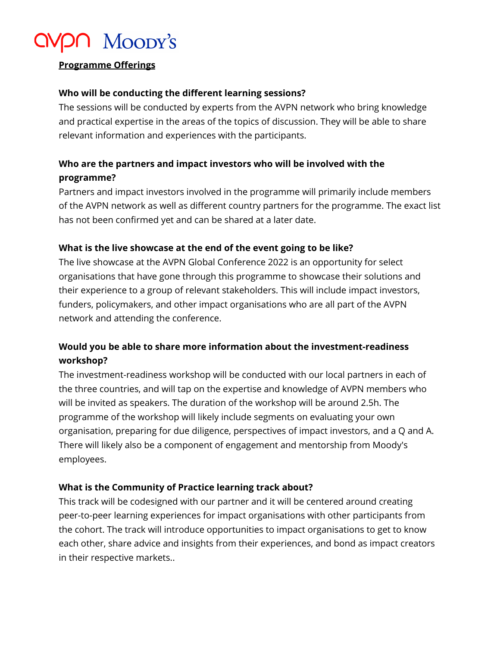# $20$  Moody's

#### **Programme Offerings**

#### **Who will be conducting the different learning sessions?**

The sessions will be conducted by experts from the AVPN network who bring knowledge and practical expertise in the areas of the topics of discussion. They will be able to share relevant information and experiences with the participants.

## **Who are the partners and impact investors who will be involved with the programme?**

Partners and impact investors involved in the programme will primarily include members of the AVPN network as well as different country partners for the programme. The exact list has not been confirmed yet and can be shared at a later date.

### **What is the live showcase at the end of the event going to be like?**

The live showcase at the AVPN Global Conference 2022 is an opportunity for select organisations that have gone through this programme to showcase their solutions and their experience to a group of relevant stakeholders. This will include impact investors, funders, policymakers, and other impact organisations who are all part of the AVPN network and attending the conference.

## **Would you be able to share more information about the investment-readiness workshop?**

The investment-readiness workshop will be conducted with our local partners in each of the three countries, and will tap on the expertise and knowledge of AVPN members who will be invited as speakers. The duration of the workshop will be around 2.5h. The programme of the workshop will likely include segments on evaluating your own organisation, preparing for due diligence, perspectives of impact investors, and a Q and A. There will likely also be a component of engagement and mentorship from Moody's employees.

#### **What is the Community of Practice learning track about?**

This track will be codesigned with our partner and it will be centered around creating peer-to-peer learning experiences for impact organisations with other participants from the cohort. The track will introduce opportunities to impact organisations to get to know each other, share advice and insights from their experiences, and bond as impact creators in their respective markets..